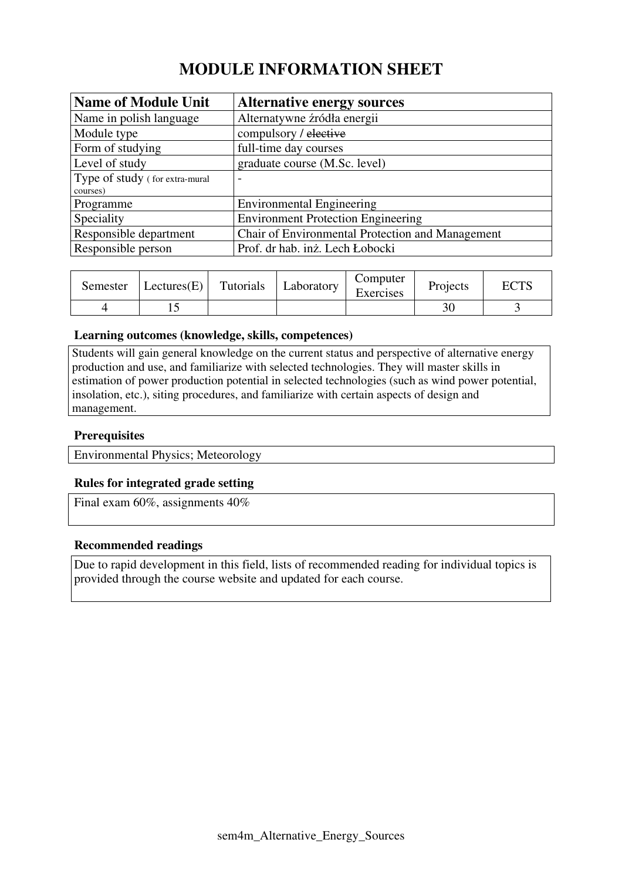# **MODULE INFORMATION SHEET**

| <b>Name of Module Unit</b>     | <b>Alternative energy sources</b>                |
|--------------------------------|--------------------------------------------------|
| Name in polish language        | Alternatywne źródła energii                      |
| Module type                    | compulsory / elective                            |
| Form of studying               | full-time day courses                            |
| Level of study                 | graduate course (M.Sc. level)                    |
| Type of study (for extra-mural | $\overline{\phantom{0}}$                         |
| courses)                       |                                                  |
| Programme                      | <b>Environmental Engineering</b>                 |
| Speciality                     | <b>Environment Protection Engineering</b>        |
| Responsible department         | Chair of Environmental Protection and Management |
| Responsible person             | Prof. dr hab. inż. Lech Łobocki                  |

| Semester | Lectures(E) | Tutorials | Laboratory | Computer<br>Exercises | Projects | $\Gamma\cap$ TC |
|----------|-------------|-----------|------------|-----------------------|----------|-----------------|
|          |             |           |            |                       |          |                 |

#### **Learning outcomes (knowledge, skills, competences)**

Students will gain general knowledge on the current status and perspective of alternative energy production and use, and familiarize with selected technologies. They will master skills in estimation of power production potential in selected technologies (such as wind power potential, insolation, etc.), siting procedures, and familiarize with certain aspects of design and management.

#### **Prerequisites**

Environmental Physics; Meteorology

#### **Rules for integrated grade setting**

Final exam 60%, assignments 40%

#### **Recommended readings**

Due to rapid development in this field, lists of recommended reading for individual topics is provided through the course website and updated for each course.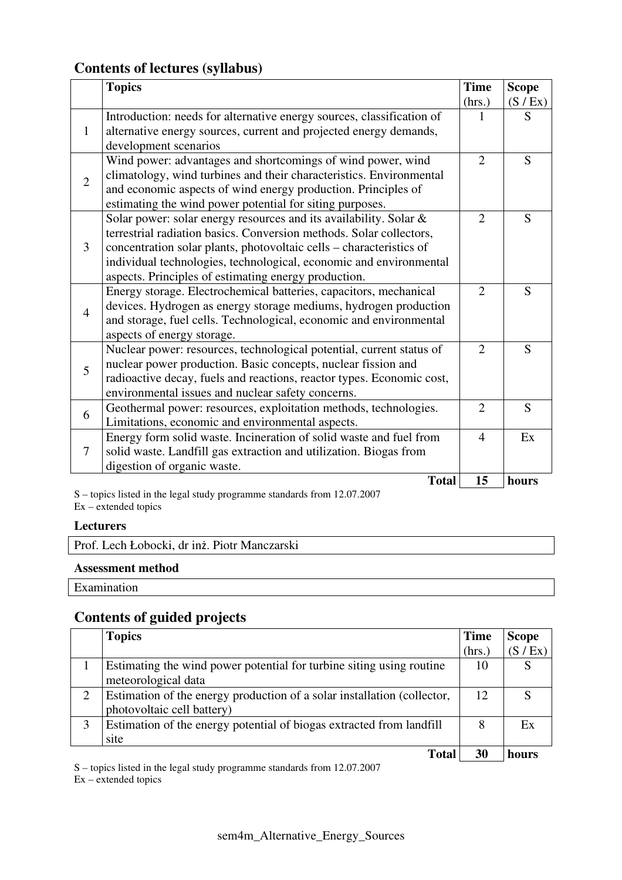## **Contents of lectures (syllabus)**

|                | <b>Topics</b>                                                         |                | <b>Scope</b> |
|----------------|-----------------------------------------------------------------------|----------------|--------------|
|                |                                                                       | (hrs.)         | (S / Ex)     |
|                | Introduction: needs for alternative energy sources, classification of |                | S            |
| 1              | alternative energy sources, current and projected energy demands,     |                |              |
|                | development scenarios                                                 |                |              |
| $\overline{2}$ | Wind power: advantages and shortcomings of wind power, wind           | $\overline{2}$ | S            |
|                | climatology, wind turbines and their characteristics. Environmental   |                |              |
|                | and economic aspects of wind energy production. Principles of         |                |              |
|                | estimating the wind power potential for siting purposes.              |                |              |
|                | Solar power: solar energy resources and its availability. Solar &     | $\overline{2}$ | S            |
|                | terrestrial radiation basics. Conversion methods. Solar collectors,   |                |              |
| 3              | concentration solar plants, photovoltaic cells – characteristics of   |                |              |
|                | individual technologies, technological, economic and environmental    |                |              |
|                | aspects. Principles of estimating energy production.                  |                |              |
|                | Energy storage. Electrochemical batteries, capacitors, mechanical     | $\overline{2}$ | S            |
| $\overline{4}$ | devices. Hydrogen as energy storage mediums, hydrogen production      |                |              |
|                | and storage, fuel cells. Technological, economic and environmental    |                |              |
|                | aspects of energy storage.                                            |                |              |
|                | Nuclear power: resources, technological potential, current status of  | $\overline{2}$ | S            |
| 5              | nuclear power production. Basic concepts, nuclear fission and         |                |              |
|                | radioactive decay, fuels and reactions, reactor types. Economic cost, |                |              |
|                | environmental issues and nuclear safety concerns.                     |                |              |
| 6              | Geothermal power: resources, exploitation methods, technologies.      | $\overline{2}$ | S            |
|                | Limitations, economic and environmental aspects.                      |                |              |
|                | Energy form solid waste. Incineration of solid waste and fuel from    | $\overline{4}$ | Ex           |
| 7              | solid waste. Landfill gas extraction and utilization. Biogas from     |                |              |
|                | digestion of organic waste.                                           |                |              |
|                | <b>Total</b>                                                          | 15             | hours        |

S – topics listed in the legal study programme standards from 12.07.2007 Ex – extended topics

#### **Lecturers**

Prof. Lech Łobocki, dr inż. Piotr Manczarski

#### **Assessment method**

Examination

## **Contents of guided projects**

|   | <b>Topics</b>                                                                                         | <b>Time</b> | <b>Scope</b> |
|---|-------------------------------------------------------------------------------------------------------|-------------|--------------|
|   |                                                                                                       | (hrs.)      | (S / Ex)     |
|   | Estimating the wind power potential for turbine siting using routine                                  | 10          |              |
|   | meteorological data                                                                                   |             |              |
| 2 | Estimation of the energy production of a solar installation (collector,<br>photovoltaic cell battery) | 12          | S            |
| 3 | Estimation of the energy potential of biogas extracted from landfill<br>site                          | 8           | Ex           |
|   | <b>Total</b>                                                                                          | 30          | hours        |

S – topics listed in the legal study programme standards from 12.07.2007  $Ex -$  extended topics